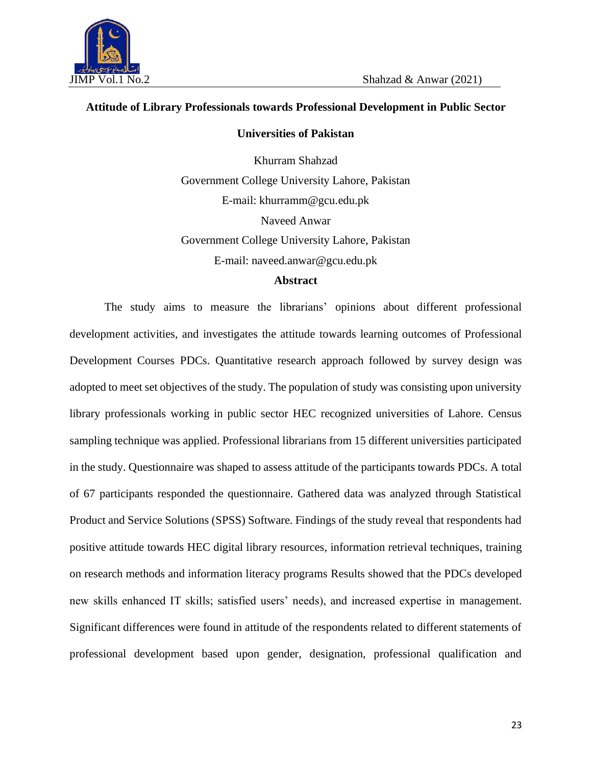

#### **Attitude of Library Professionals towards Professional Development in Public Sector**

#### **Universities of Pakistan**

Khurram Shahzad Government College University Lahore, Pakistan E-mail: khurramm@gcu.edu.pk Naveed Anwar Government College University Lahore, Pakistan E-mail: naveed.anwar@gcu.edu.pk

#### **Abstract**

The study aims to measure the librarians' opinions about different professional development activities, and investigates the attitude towards learning outcomes of Professional Development Courses PDCs. Quantitative research approach followed by survey design was adopted to meet set objectives of the study. The population of study was consisting upon university library professionals working in public sector HEC recognized universities of Lahore. Census sampling technique was applied. Professional librarians from 15 different universities participated in the study. Questionnaire was shaped to assess attitude of the participants towards PDCs. A total of 67 participants responded the questionnaire. Gathered data was analyzed through Statistical Product and Service Solutions (SPSS) Software. Findings of the study reveal that respondents had positive attitude towards HEC digital library resources, information retrieval techniques, training on research methods and information literacy programs Results showed that the PDCs developed new skills enhanced IT skills; satisfied users' needs), and increased expertise in management. Significant differences were found in attitude of the respondents related to different statements of professional development based upon gender, designation, professional qualification and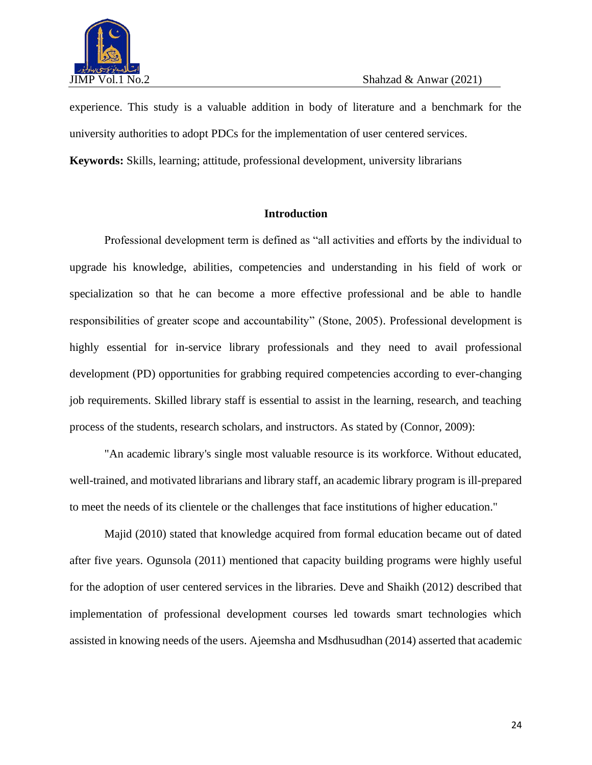

experience. This study is a valuable addition in body of literature and a benchmark for the university authorities to adopt PDCs for the implementation of user centered services.

**Keywords:** Skills, learning; attitude, professional development, university librarians

# **Introduction**

Professional development term is defined as "all activities and efforts by the individual to upgrade his knowledge, abilities, competencies and understanding in his field of work or specialization so that he can become a more effective professional and be able to handle responsibilities of greater scope and accountability" (Stone, 2005). Professional development is highly essential for in-service library professionals and they need to avail professional development (PD) opportunities for grabbing required competencies according to ever-changing job requirements. Skilled library staff is essential to assist in the learning, research, and teaching process of the students, research scholars, and instructors. As stated by (Connor, 2009):

"An academic library's single most valuable resource is its workforce. Without educated, well-trained, and motivated librarians and library staff, an academic library program is ill-prepared to meet the needs of its clientele or the challenges that face institutions of higher education."

Majid (2010) stated that knowledge acquired from formal education became out of dated after five years. Ogunsola (2011) mentioned that capacity building programs were highly useful for the adoption of user centered services in the libraries. Deve and Shaikh (2012) described that implementation of professional development courses led towards smart technologies which assisted in knowing needs of the users. Ajeemsha and Msdhusudhan (2014) asserted that academic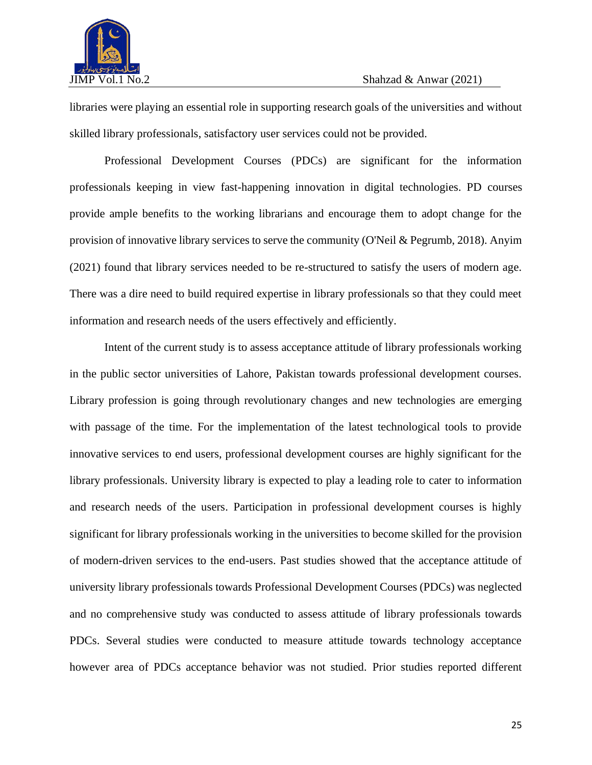

libraries were playing an essential role in supporting research goals of the universities and without skilled library professionals, satisfactory user services could not be provided.

Professional Development Courses (PDCs) are significant for the information professionals keeping in view fast-happening innovation in digital technologies. PD courses provide ample benefits to the working librarians and encourage them to adopt change for the provision of innovative library services to serve the community (O'Neil & Pegrumb, 2018). Anyim (2021) found that library services needed to be re-structured to satisfy the users of modern age. There was a dire need to build required expertise in library professionals so that they could meet information and research needs of the users effectively and efficiently.

Intent of the current study is to assess acceptance attitude of library professionals working in the public sector universities of Lahore, Pakistan towards professional development courses. Library profession is going through revolutionary changes and new technologies are emerging with passage of the time. For the implementation of the latest technological tools to provide innovative services to end users, professional development courses are highly significant for the library professionals. University library is expected to play a leading role to cater to information and research needs of the users. Participation in professional development courses is highly significant for library professionals working in the universities to become skilled for the provision of modern-driven services to the end-users. Past studies showed that the acceptance attitude of university library professionals towards Professional Development Courses (PDCs) was neglected and no comprehensive study was conducted to assess attitude of library professionals towards PDCs. Several studies were conducted to measure attitude towards technology acceptance however area of PDCs acceptance behavior was not studied. Prior studies reported different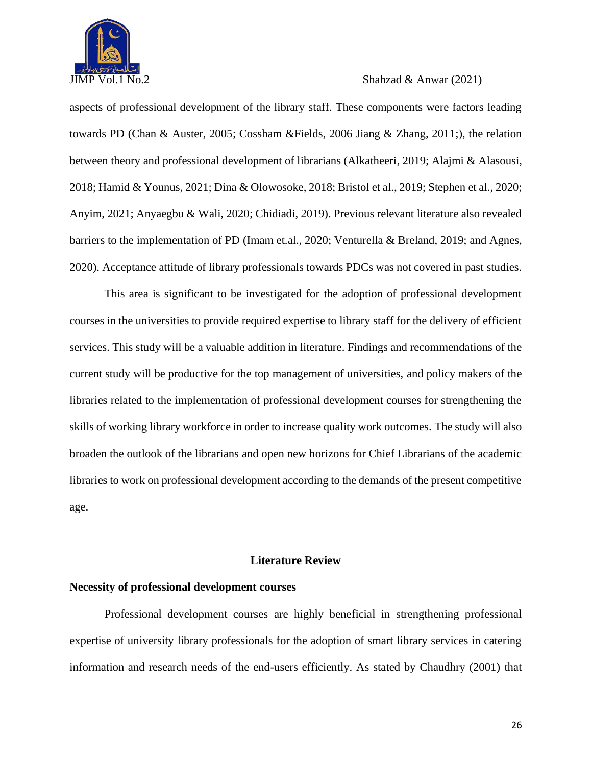

aspects of professional development of the library staff. These components were factors leading towards PD (Chan & Auster, 2005; Cossham &Fields, 2006 Jiang & Zhang, 2011;), the relation between theory and professional development of librarians (Alkatheeri, 2019; Alajmi & Alasousi, 2018; Hamid & Younus, 2021; Dina & Olowosoke, 2018; Bristol et al., 2019; Stephen et al., 2020; Anyim, 2021; Anyaegbu & Wali, 2020; Chidiadi, 2019). Previous relevant literature also revealed barriers to the implementation of PD (Imam et.al., 2020; Venturella & Breland, 2019; and Agnes, 2020). Acceptance attitude of library professionals towards PDCs was not covered in past studies.

This area is significant to be investigated for the adoption of professional development courses in the universities to provide required expertise to library staff for the delivery of efficient services. This study will be a valuable addition in literature. Findings and recommendations of the current study will be productive for the top management of universities, and policy makers of the libraries related to the implementation of professional development courses for strengthening the skills of working library workforce in order to increase quality work outcomes. The study will also broaden the outlook of the librarians and open new horizons for Chief Librarians of the academic libraries to work on professional development according to the demands of the present competitive age.

# **Literature Review**

### **Necessity of professional development courses**

Professional development courses are highly beneficial in strengthening professional expertise of university library professionals for the adoption of smart library services in catering information and research needs of the end-users efficiently. As stated by Chaudhry (2001) that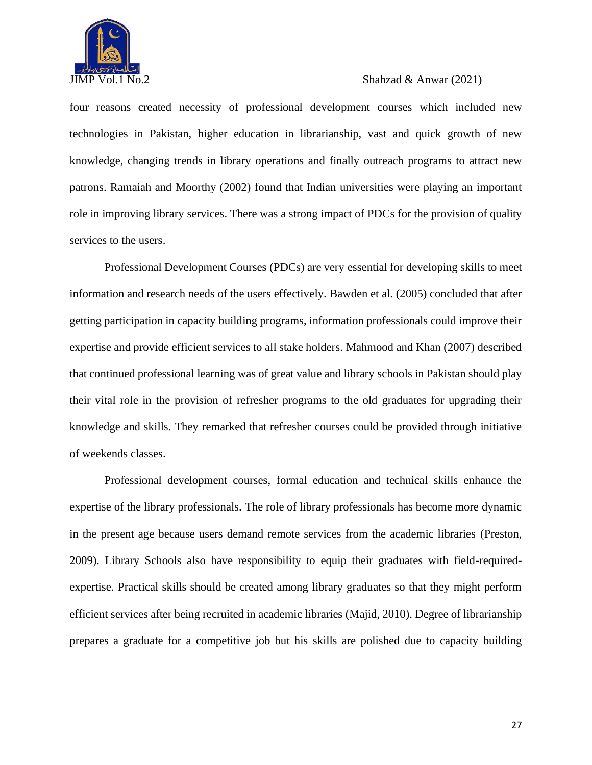

four reasons created necessity of professional development courses which included new technologies in Pakistan, higher education in librarianship, vast and quick growth of new knowledge, changing trends in library operations and finally outreach programs to attract new patrons. Ramaiah and Moorthy (2002) found that Indian universities were playing an important role in improving library services. There was a strong impact of PDCs for the provision of quality services to the users.

Professional Development Courses (PDCs) are very essential for developing skills to meet information and research needs of the users effectively. Bawden et al. (2005) concluded that after getting participation in capacity building programs, information professionals could improve their expertise and provide efficient services to all stake holders. Mahmood and Khan (2007) described that continued professional learning was of great value and library schools in Pakistan should play their vital role in the provision of refresher programs to the old graduates for upgrading their knowledge and skills. They remarked that refresher courses could be provided through initiative of weekends classes.

Professional development courses, formal education and technical skills enhance the expertise of the library professionals. The role of library professionals has become more dynamic in the present age because users demand remote services from the academic libraries (Preston, 2009). Library Schools also have responsibility to equip their graduates with field-requiredexpertise. Practical skills should be created among library graduates so that they might perform efficient services after being recruited in academic libraries (Majid, 2010). Degree of librarianship prepares a graduate for a competitive job but his skills are polished due to capacity building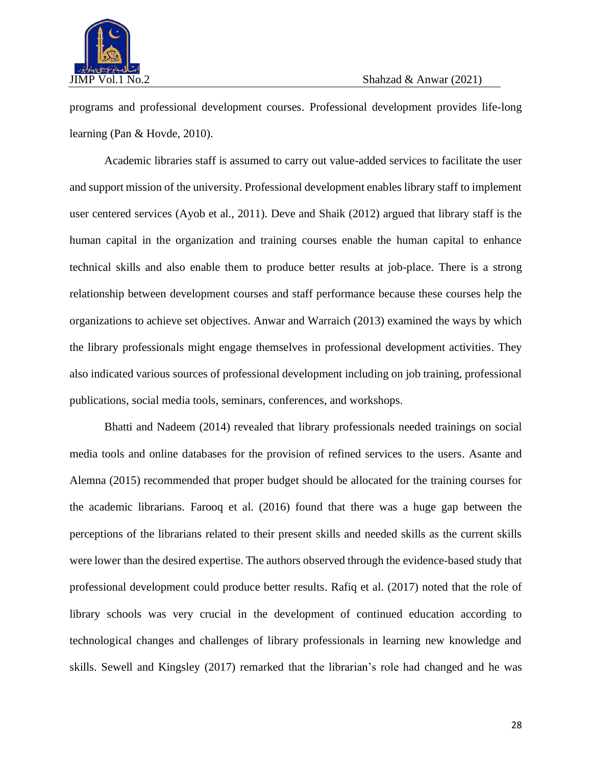

programs and professional development courses. Professional development provides life-long learning (Pan & Hovde, 2010).

Academic libraries staff is assumed to carry out value-added services to facilitate the user and support mission of the university. Professional development enables library staff to implement user centered services (Ayob et al., 2011). Deve and Shaik (2012) argued that library staff is the human capital in the organization and training courses enable the human capital to enhance technical skills and also enable them to produce better results at job-place. There is a strong relationship between development courses and staff performance because these courses help the organizations to achieve set objectives. Anwar and Warraich (2013) examined the ways by which the library professionals might engage themselves in professional development activities. They also indicated various sources of professional development including on job training, professional publications, social media tools, seminars, conferences, and workshops.

Bhatti and Nadeem (2014) revealed that library professionals needed trainings on social media tools and online databases for the provision of refined services to the users. Asante and Alemna (2015) recommended that proper budget should be allocated for the training courses for the academic librarians. Farooq et al. (2016) found that there was a huge gap between the perceptions of the librarians related to their present skills and needed skills as the current skills were lower than the desired expertise. The authors observed through the evidence-based study that professional development could produce better results. Rafiq et al. (2017) noted that the role of library schools was very crucial in the development of continued education according to technological changes and challenges of library professionals in learning new knowledge and skills. Sewell and Kingsley (2017) remarked that the librarian's role had changed and he was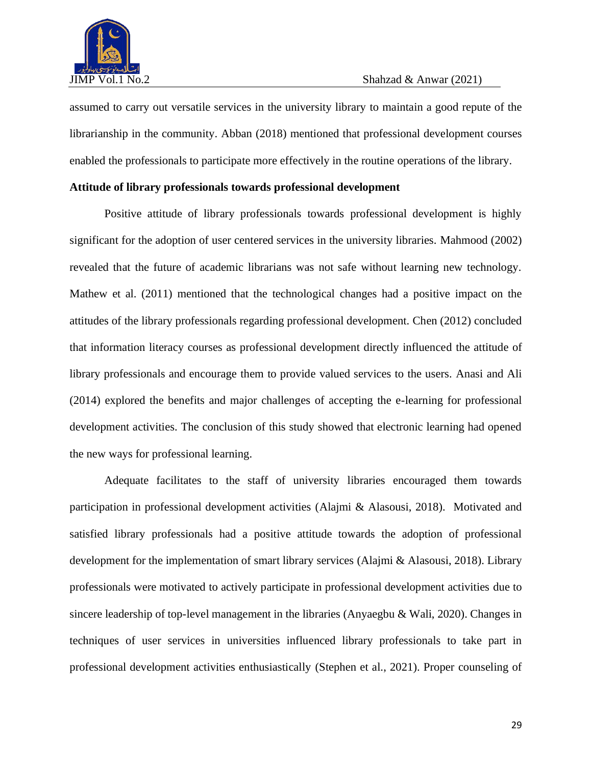

assumed to carry out versatile services in the university library to maintain a good repute of the librarianship in the community. Abban (2018) mentioned that professional development courses enabled the professionals to participate more effectively in the routine operations of the library.

### **Attitude of library professionals towards professional development**

Positive attitude of library professionals towards professional development is highly significant for the adoption of user centered services in the university libraries. Mahmood (2002) revealed that the future of academic librarians was not safe without learning new technology. Mathew et al. (2011) mentioned that the technological changes had a positive impact on the attitudes of the library professionals regarding professional development. Chen (2012) concluded that information literacy courses as professional development directly influenced the attitude of library professionals and encourage them to provide valued services to the users. Anasi and Ali (2014) explored the benefits and major challenges of accepting the e-learning for professional development activities. The conclusion of this study showed that electronic learning had opened the new ways for professional learning.

Adequate facilitates to the staff of university libraries encouraged them towards participation in professional development activities (Alajmi & Alasousi, 2018). Motivated and satisfied library professionals had a positive attitude towards the adoption of professional development for the implementation of smart library services (Alajmi & Alasousi, 2018). Library professionals were motivated to actively participate in professional development activities due to sincere leadership of top-level management in the libraries (Anyaegbu & Wali, 2020). Changes in techniques of user services in universities influenced library professionals to take part in professional development activities enthusiastically (Stephen et al., 2021). Proper counseling of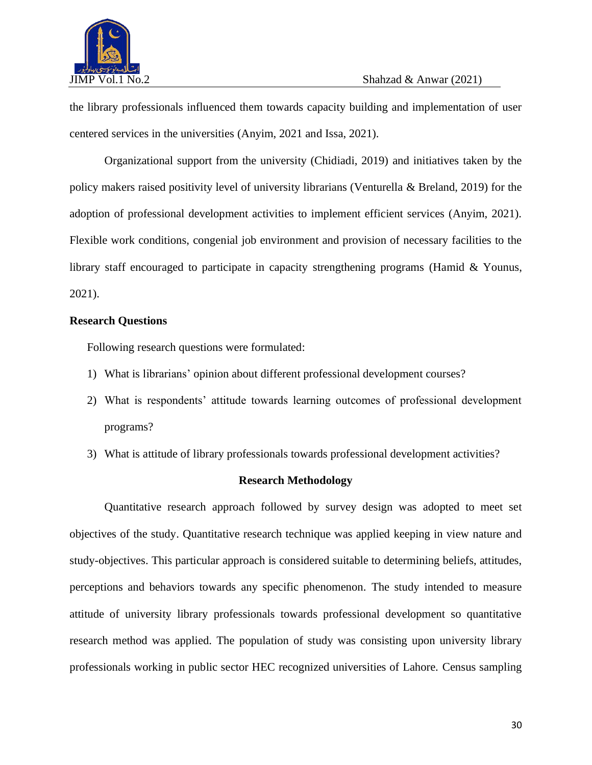

the library professionals influenced them towards capacity building and implementation of user centered services in the universities (Anyim, 2021 and Issa, 2021).

Organizational support from the university (Chidiadi, 2019) and initiatives taken by the policy makers raised positivity level of university librarians (Venturella & Breland, 2019) for the adoption of professional development activities to implement efficient services (Anyim, 2021). Flexible work conditions, congenial job environment and provision of necessary facilities to the library staff encouraged to participate in capacity strengthening programs (Hamid & Younus, 2021).

# **Research Questions**

Following research questions were formulated:

- 1) What is librarians' opinion about different professional development courses?
- 2) What is respondents' attitude towards learning outcomes of professional development programs?
- 3) What is attitude of library professionals towards professional development activities?

### **Research Methodology**

Quantitative research approach followed by survey design was adopted to meet set objectives of the study. Quantitative research technique was applied keeping in view nature and study-objectives. This particular approach is considered suitable to determining beliefs, attitudes, perceptions and behaviors towards any specific phenomenon. The study intended to measure attitude of university library professionals towards professional development so quantitative research method was applied. The population of study was consisting upon university library professionals working in public sector HEC recognized universities of Lahore. Census sampling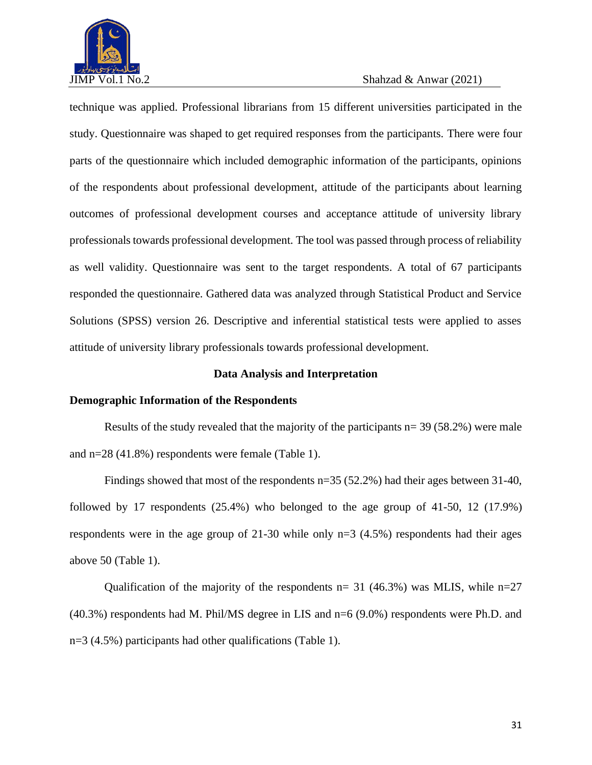

technique was applied. Professional librarians from 15 different universities participated in the study. Questionnaire was shaped to get required responses from the participants. There were four parts of the questionnaire which included demographic information of the participants, opinions of the respondents about professional development, attitude of the participants about learning outcomes of professional development courses and acceptance attitude of university library professionals towards professional development. The tool was passed through process of reliability as well validity. Questionnaire was sent to the target respondents. A total of 67 participants responded the questionnaire. Gathered data was analyzed through Statistical Product and Service Solutions (SPSS) version 26. Descriptive and inferential statistical tests were applied to asses attitude of university library professionals towards professional development.

#### **Data Analysis and Interpretation**

### **Demographic Information of the Respondents**

Results of the study revealed that the majority of the participants  $n=$  39 (58.2%) were male and n=28 (41.8%) respondents were female (Table 1).

Findings showed that most of the respondents n=35 (52.2%) had their ages between 31-40, followed by 17 respondents (25.4%) who belonged to the age group of 41-50, 12 (17.9%) respondents were in the age group of 21-30 while only n=3 (4.5%) respondents had their ages above 50 (Table 1).

Qualification of the majority of the respondents  $n=$  31 (46.3%) was MLIS, while  $n=$  27 (40.3%) respondents had M. Phil/MS degree in LIS and n=6 (9.0%) respondents were Ph.D. and n=3 (4.5%) participants had other qualifications (Table 1).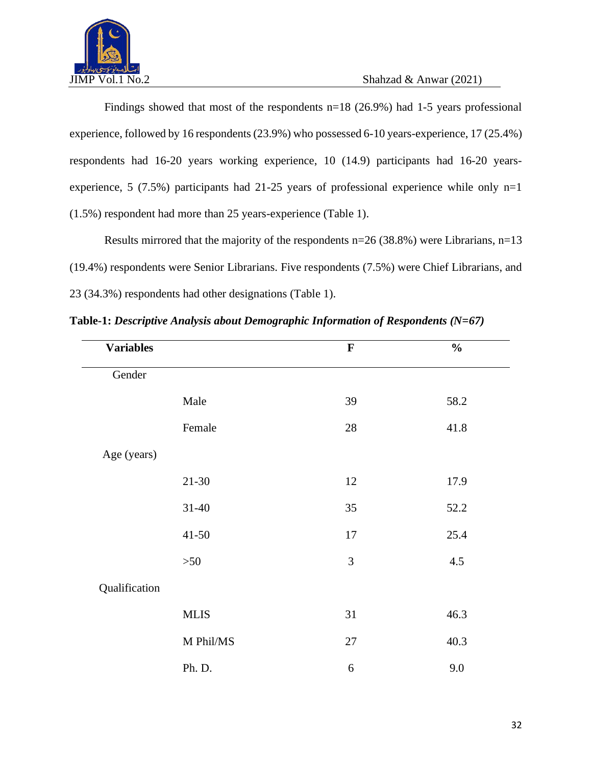

Findings showed that most of the respondents n=18 (26.9%) had 1-5 years professional experience, followed by 16 respondents (23.9%) who possessed 6-10 years-experience, 17 (25.4%) respondents had 16-20 years working experience, 10 (14.9) participants had 16-20 yearsexperience, 5 (7.5%) participants had 21-25 years of professional experience while only  $n=1$ (1.5%) respondent had more than 25 years-experience (Table 1).

Results mirrored that the majority of the respondents  $n=26$  (38.8%) were Librarians,  $n=13$ (19.4%) respondents were Senior Librarians. Five respondents (7.5%) were Chief Librarians, and 23 (34.3%) respondents had other designations (Table 1).

| <b>Variables</b> |             | $\mathbf F$ | $\frac{0}{0}$ |
|------------------|-------------|-------------|---------------|
| Gender           |             |             |               |
|                  | Male        | 39          | 58.2          |
|                  | Female      | 28          | 41.8          |
| Age (years)      |             |             |               |
|                  | $21 - 30$   | 12          | 17.9          |
|                  | $31 - 40$   | 35          | 52.2          |
|                  | $41 - 50$   | 17          | 25.4          |
|                  | $>50$       | 3           | 4.5           |
| Qualification    |             |             |               |
|                  | <b>MLIS</b> | 31          | 46.3          |
|                  | M Phil/MS   | 27          | 40.3          |
|                  | Ph. D.      | 6           | 9.0           |

**Table-1:** *Descriptive Analysis about Demographic Information of Respondents (N=67)*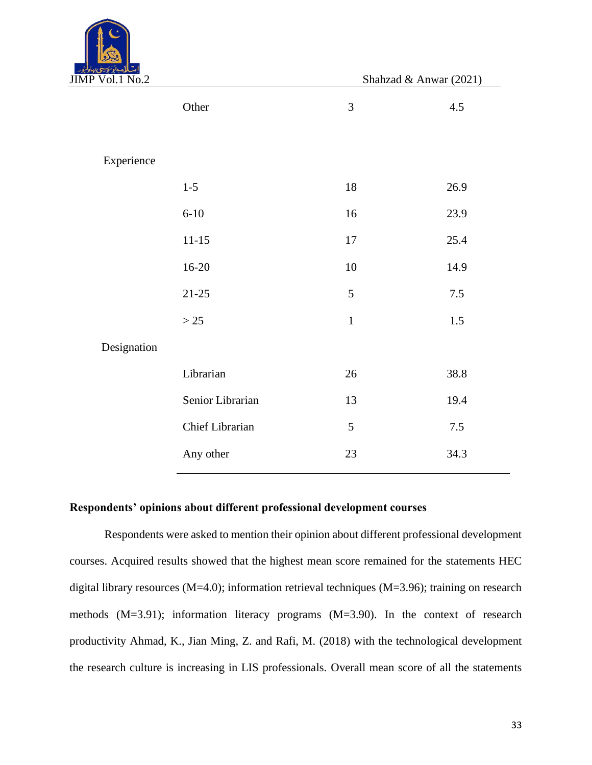

 $JIMP Vol.1 No.2$  Shahzad & Anwar (2021)

| щ<br>$V \cup L L L V \cup L$ |                  |             | Drama $\alpha$ mwa $(2021)$ |
|------------------------------|------------------|-------------|-----------------------------|
|                              | Other            | 3           | 4.5                         |
| Experience                   |                  |             |                             |
|                              | $1-5$            | 18          | 26.9                        |
|                              | $6 - 10$         | 16          | 23.9                        |
|                              | $11 - 15$        | $17\,$      | 25.4                        |
|                              | $16 - 20$        | $10\,$      | 14.9                        |
|                              | $21 - 25$        | 5           | 7.5                         |
|                              | $>25$            | $\mathbf 1$ | 1.5                         |
| Designation                  |                  |             |                             |
|                              | Librarian        | $26\,$      | 38.8                        |
|                              | Senior Librarian | 13          | 19.4                        |
|                              | Chief Librarian  | 5           | $7.5$                       |
|                              | Any other        | 23          | 34.3                        |
|                              |                  |             |                             |

#### **Respondents' opinions about different professional development courses**

Respondents were asked to mention their opinion about different professional development courses. Acquired results showed that the highest mean score remained for the statements HEC digital library resources (M=4.0); information retrieval techniques (M=3.96); training on research methods (M=3.91); information literacy programs (M=3.90). In the context of research productivity Ahmad, K., Jian Ming, Z. and Rafi, M. (2018) with the technological development the research culture is increasing in LIS professionals. Overall mean score of all the statements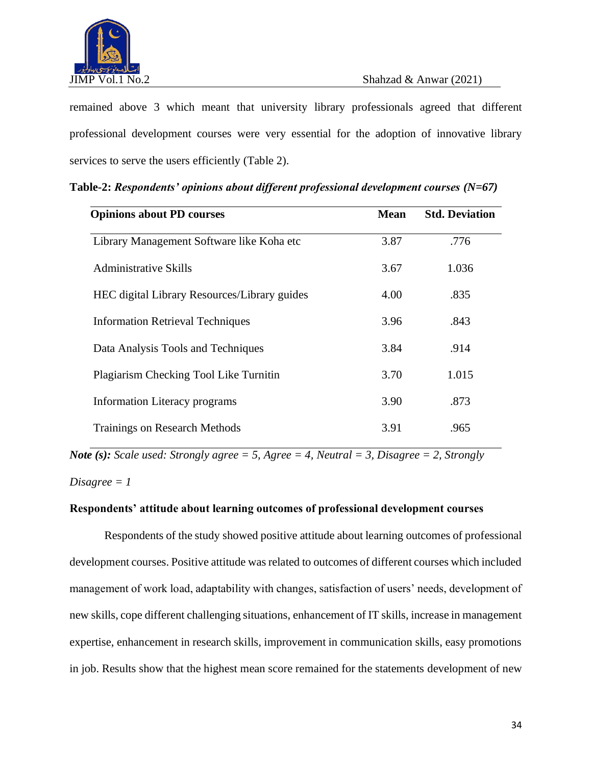

remained above 3 which meant that university library professionals agreed that different professional development courses were very essential for the adoption of innovative library services to serve the users efficiently (Table 2).

| <b>Opinions about PD courses</b>                    | <b>Mean</b> | <b>Std. Deviation</b> |
|-----------------------------------------------------|-------------|-----------------------|
| Library Management Software like Koha etc           | 3.87        | .776                  |
| Administrative Skills                               | 3.67        | 1.036                 |
| <b>HEC</b> digital Library Resources/Library guides | 4.00        | .835                  |
| <b>Information Retrieval Techniques</b>             | 3.96        | .843                  |
| Data Analysis Tools and Techniques                  | 3.84        | .914                  |
| Plagiarism Checking Tool Like Turnitin              | 3.70        | 1.015                 |
| Information Literacy programs                       | 3.90        | .873                  |
| <b>Trainings on Research Methods</b>                | 3.91        | .965                  |

**Table-2:** *Respondents' opinions about different professional development courses (N=67)*

*Note (s): Scale used: Strongly agree = 5, Agree = 4, Neutral = 3, Disagree = 2, Strongly Disagree = 1*

### **Respondents' attitude about learning outcomes of professional development courses**

Respondents of the study showed positive attitude about learning outcomes of professional development courses. Positive attitude was related to outcomes of different courses which included management of work load, adaptability with changes, satisfaction of users' needs, development of new skills, cope different challenging situations, enhancement of IT skills, increase in management expertise, enhancement in research skills, improvement in communication skills, easy promotions in job. Results show that the highest mean score remained for the statements development of new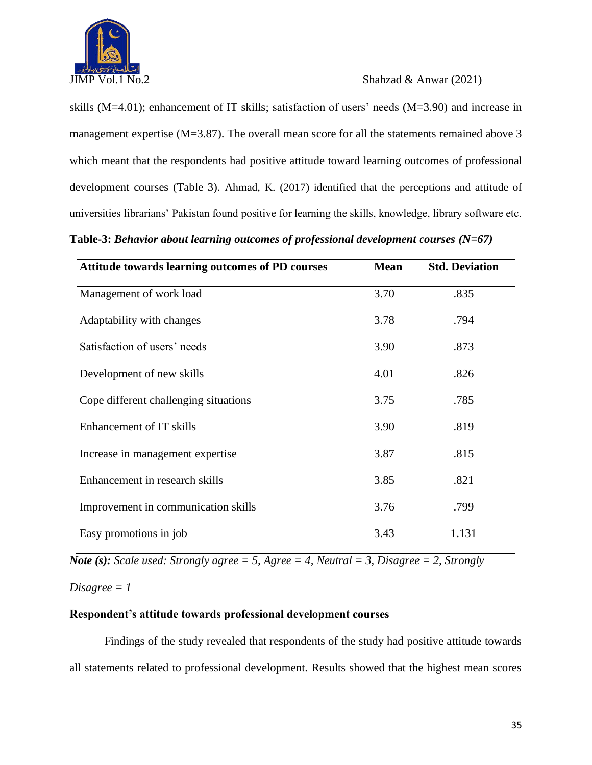

skills (M=4.01); enhancement of IT skills; satisfaction of users' needs (M=3.90) and increase in management expertise (M=3.87). The overall mean score for all the statements remained above 3 which meant that the respondents had positive attitude toward learning outcomes of professional development courses (Table 3). Ahmad, K. (2017) identified that the perceptions and attitude of universities librarians' Pakistan found positive for learning the skills, knowledge, library software etc.

**Table-3:** *Behavior about learning outcomes of professional development courses (N=67)*

| <b>Attitude towards learning outcomes of PD courses</b> | <b>Mean</b> | <b>Std. Deviation</b> |
|---------------------------------------------------------|-------------|-----------------------|
| Management of work load                                 | 3.70        | .835                  |
| Adaptability with changes                               | 3.78        | .794                  |
| Satisfaction of users' needs                            | 3.90        | .873                  |
| Development of new skills                               | 4.01        | .826                  |
| Cope different challenging situations                   | 3.75        | .785                  |
| Enhancement of IT skills                                | 3.90        | .819                  |
| Increase in management expertise                        | 3.87        | .815                  |
| Enhancement in research skills                          | 3.85        | .821                  |
| Improvement in communication skills                     | 3.76        | .799                  |
| Easy promotions in job                                  | 3.43        | 1.131                 |

*Note (s): Scale used: Strongly agree = 5, Agree = 4, Neutral = 3, Disagree = 2, Strongly* 

*Disagree = 1*

# **Respondent's attitude towards professional development courses**

Findings of the study revealed that respondents of the study had positive attitude towards all statements related to professional development. Results showed that the highest mean scores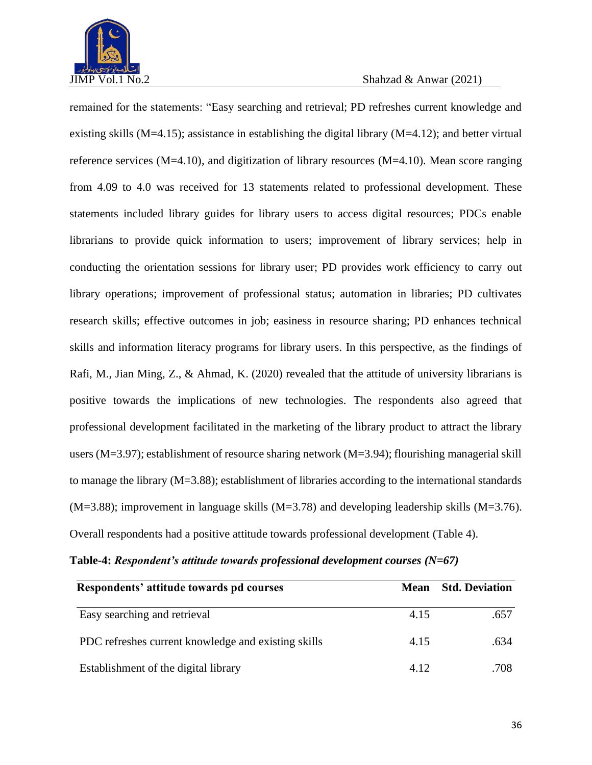

remained for the statements: "Easy searching and retrieval; PD refreshes current knowledge and existing skills (M=4.15); assistance in establishing the digital library (M=4.12); and better virtual reference services (M=4.10), and digitization of library resources (M=4.10). Mean score ranging from 4.09 to 4.0 was received for 13 statements related to professional development. These statements included library guides for library users to access digital resources; PDCs enable librarians to provide quick information to users; improvement of library services; help in conducting the orientation sessions for library user; PD provides work efficiency to carry out library operations; improvement of professional status; automation in libraries; PD cultivates research skills; effective outcomes in job; easiness in resource sharing; PD enhances technical skills and information literacy programs for library users. In this perspective, as the findings of Rafi, M., Jian Ming, Z., & Ahmad, K. (2020) revealed that the attitude of university librarians is positive towards the implications of new technologies. The respondents also agreed that professional development facilitated in the marketing of the library product to attract the library users (M=3.97); establishment of resource sharing network (M=3.94); flourishing managerial skill to manage the library (M=3.88); establishment of libraries according to the international standards (M=3.88); improvement in language skills (M=3.78) and developing leadership skills (M=3.76). Overall respondents had a positive attitude towards professional development (Table 4).

| Respondents' attitude towards pd courses            | Mean | <b>Std. Deviation</b> |  |  |
|-----------------------------------------------------|------|-----------------------|--|--|
| Easy searching and retrieval                        | 4.15 | .657                  |  |  |
| PDC refreshes current knowledge and existing skills | 4.15 | .634                  |  |  |
| Establishment of the digital library                | 4.12 | .708                  |  |  |

**Table-4:** *Respondent's attitude towards professional development courses (N=67)*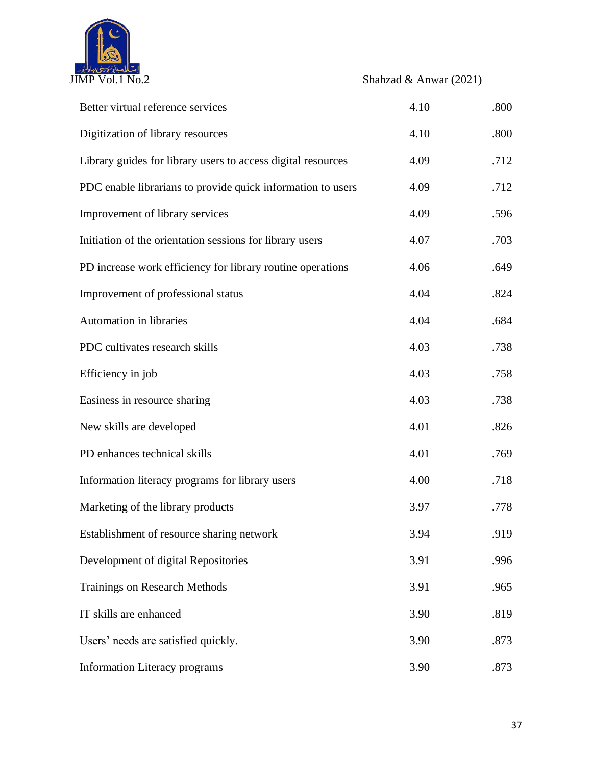

JIMP Vol.1 No.2 Shahzad & Anwar (2021)

| Better virtual reference services                            | 4.10 | .800 |
|--------------------------------------------------------------|------|------|
| Digitization of library resources                            | 4.10 | .800 |
| Library guides for library users to access digital resources | 4.09 | .712 |
| PDC enable librarians to provide quick information to users  | 4.09 | .712 |
| Improvement of library services                              | 4.09 | .596 |
| Initiation of the orientation sessions for library users     | 4.07 | .703 |
| PD increase work efficiency for library routine operations   | 4.06 | .649 |
| Improvement of professional status                           | 4.04 | .824 |
| Automation in libraries                                      | 4.04 | .684 |
| PDC cultivates research skills                               | 4.03 | .738 |
| Efficiency in job                                            | 4.03 | .758 |
| Easiness in resource sharing                                 | 4.03 | .738 |
| New skills are developed                                     | 4.01 | .826 |
| PD enhances technical skills                                 | 4.01 | .769 |
| Information literacy programs for library users              | 4.00 | .718 |
| Marketing of the library products                            | 3.97 | .778 |
| Establishment of resource sharing network                    | 3.94 | .919 |
| Development of digital Repositories                          | 3.91 | .996 |
| <b>Trainings on Research Methods</b>                         | 3.91 | .965 |
| IT skills are enhanced                                       | 3.90 | .819 |
| Users' needs are satisfied quickly.                          | 3.90 | .873 |
| <b>Information Literacy programs</b>                         | 3.90 | .873 |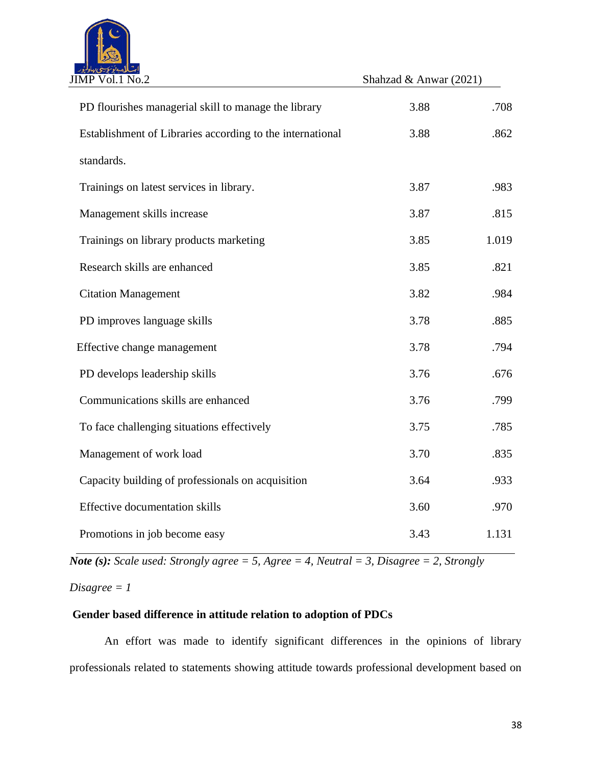

| JIMP Vol.1 No.2                                           | Shahzad & Anwar (2021) |       |
|-----------------------------------------------------------|------------------------|-------|
| PD flourishes managerial skill to manage the library      | 3.88                   | .708  |
| Establishment of Libraries according to the international | 3.88                   | .862  |
| standards.                                                |                        |       |
| Trainings on latest services in library.                  | 3.87                   | .983  |
| Management skills increase                                | 3.87                   | .815  |
| Trainings on library products marketing                   | 3.85                   | 1.019 |
| Research skills are enhanced                              | 3.85                   | .821  |
| <b>Citation Management</b>                                | 3.82                   | .984  |
| PD improves language skills                               | 3.78                   | .885  |
| Effective change management                               | 3.78                   | .794  |
| PD develops leadership skills                             | 3.76                   | .676  |
| Communications skills are enhanced                        | 3.76                   | .799  |
| To face challenging situations effectively                | 3.75                   | .785  |
| Management of work load                                   | 3.70                   | .835  |
| Capacity building of professionals on acquisition         | 3.64                   | .933  |
| <b>Effective documentation skills</b>                     | 3.60                   | .970  |
| Promotions in job become easy                             | 3.43                   | 1.131 |

*Note (s): Scale used: Strongly agree = 5, Agree = 4, Neutral = 3, Disagree = 2, Strongly* 

*Disagree = 1*

# **Gender based difference in attitude relation to adoption of PDCs**

An effort was made to identify significant differences in the opinions of library professionals related to statements showing attitude towards professional development based on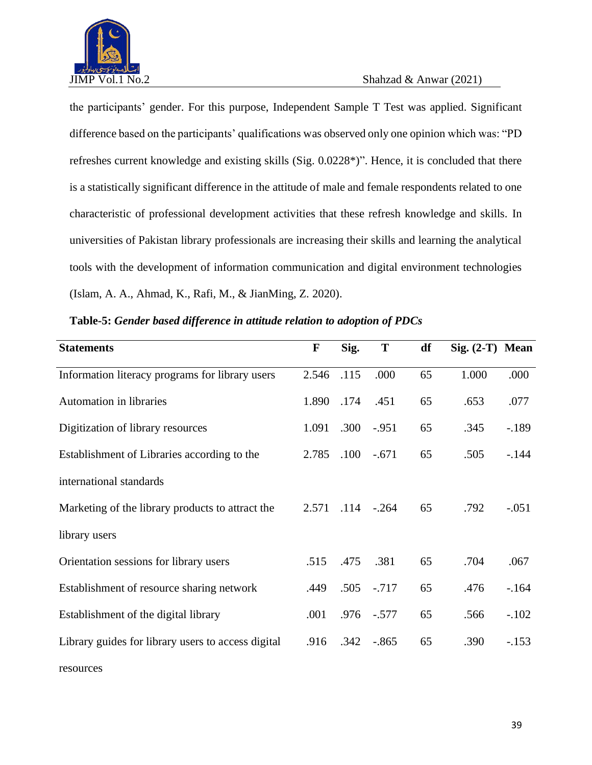

resources

the participants' gender. For this purpose, Independent Sample T Test was applied. Significant difference based on the participants' qualifications was observed only one opinion which was: "PD refreshes current knowledge and existing skills (Sig. 0.0228\*)". Hence, it is concluded that there is a statistically significant difference in the attitude of male and female respondents related to one characteristic of professional development activities that these refresh knowledge and skills. In universities of Pakistan library professionals are increasing their skills and learning the analytical tools with the development of information communication and digital environment technologies (Islam, A. A., Ahmad, K., Rafi, M., & JianMing, Z. 2020).

| <b>Statements</b>                                  | F     | Sig.     | T       | df | $Sig. (2-T)$ Mean |         |
|----------------------------------------------------|-------|----------|---------|----|-------------------|---------|
| Information literacy programs for library users    | 2.546 | .115     | .000    | 65 | 1.000             | .000    |
| Automation in libraries                            | 1.890 | .174     | .451    | 65 | .653              | .077    |
| Digitization of library resources                  | 1.091 | .300     | $-.951$ | 65 | .345              | $-189$  |
| Establishment of Libraries according to the        | 2.785 | $.100\,$ | $-.671$ | 65 | .505              | $-144$  |
| international standards                            |       |          |         |    |                   |         |
| Marketing of the library products to attract the   | 2.571 | .114     | $-.264$ | 65 | .792              | $-.051$ |
| library users                                      |       |          |         |    |                   |         |
| Orientation sessions for library users             | .515  | .475     | .381    | 65 | .704              | .067    |
| Establishment of resource sharing network          | .449  | .505     | $-.717$ | 65 | .476              | $-164$  |
| Establishment of the digital library               | .001  | .976     | $-.577$ | 65 | .566              | $-.102$ |
| Library guides for library users to access digital | .916  | .342     | $-.865$ | 65 | .390              | $-.153$ |
|                                                    |       |          |         |    |                   |         |

**Table-5:** *Gender based difference in attitude relation to adoption of PDCs*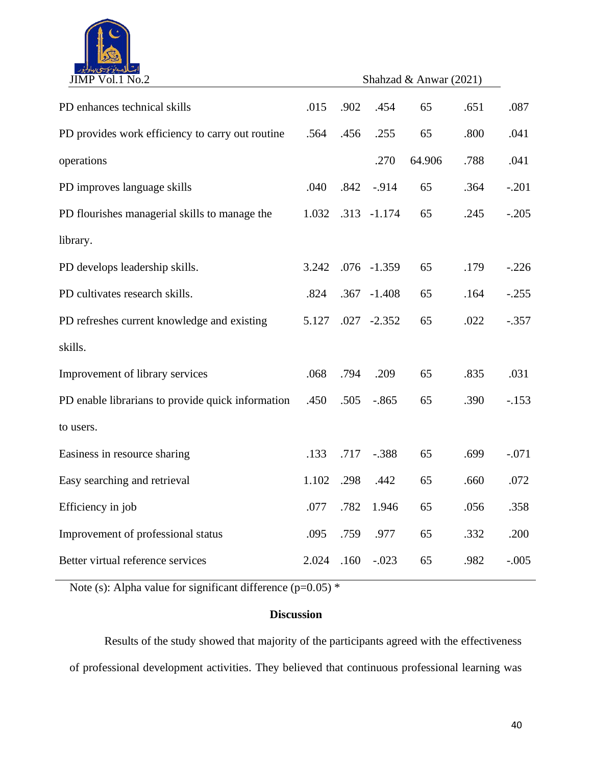

| JIMP Vol.1 No.2                                   |       | Shahzad & Anwar (2021) |                |        |      |         |
|---------------------------------------------------|-------|------------------------|----------------|--------|------|---------|
| PD enhances technical skills                      | .015  | .902                   | .454           | 65     | .651 | .087    |
| PD provides work efficiency to carry out routine  | .564  | .456                   | .255           | 65     | .800 | .041    |
| operations                                        |       |                        | .270           | 64.906 | .788 | .041    |
| PD improves language skills                       | .040  | .842                   | $-.914$        | 65     | .364 | $-.201$ |
| PD flourishes managerial skills to manage the     | 1.032 | .313                   | $-1.174$       | 65     | .245 | $-.205$ |
| library.                                          |       |                        |                |        |      |         |
| PD develops leadership skills.                    | 3.242 |                        | $.076 - 1.359$ | 65     | .179 | $-.226$ |
| PD cultivates research skills.                    | .824  | .367                   | $-1.408$       | 65     | .164 | $-.255$ |
| PD refreshes current knowledge and existing       | 5.127 |                        | $.027 - 2.352$ | 65     | .022 | $-.357$ |
| skills.                                           |       |                        |                |        |      |         |
| Improvement of library services                   | .068  | .794                   | .209           | 65     | .835 | .031    |
| PD enable librarians to provide quick information | .450  | .505                   | $-.865$        | 65     | .390 | $-.153$ |
| to users.                                         |       |                        |                |        |      |         |
| Easiness in resource sharing                      | .133  | .717                   | $-.388$        | 65     | .699 | $-.071$ |
| Easy searching and retrieval                      | 1.102 | .298                   | .442           | 65     | .660 | .072    |
| Efficiency in job                                 | .077  | .782                   | 1.946          | 65     | .056 | .358    |
| Improvement of professional status                | .095  | .759                   | .977           | 65     | .332 | .200    |
| Better virtual reference services                 | 2.024 | .160                   | $-.023$        | 65     | .982 | $-.005$ |

Note (s): Alpha value for significant difference ( $p=0.05$ ) \*

# **Discussion**

Results of the study showed that majority of the participants agreed with the effectiveness of professional development activities. They believed that continuous professional learning was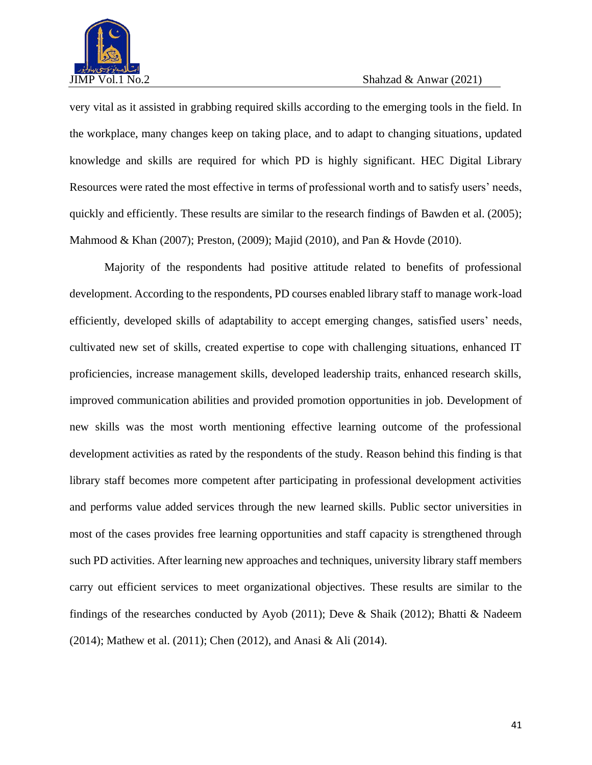

very vital as it assisted in grabbing required skills according to the emerging tools in the field. In the workplace, many changes keep on taking place, and to adapt to changing situations, updated knowledge and skills are required for which PD is highly significant. HEC Digital Library Resources were rated the most effective in terms of professional worth and to satisfy users' needs, quickly and efficiently. These results are similar to the research findings of Bawden et al. (2005); Mahmood & Khan (2007); Preston, (2009); Majid (2010), and Pan & Hovde (2010).

Majority of the respondents had positive attitude related to benefits of professional development. According to the respondents, PD courses enabled library staff to manage work-load efficiently, developed skills of adaptability to accept emerging changes, satisfied users' needs, cultivated new set of skills, created expertise to cope with challenging situations, enhanced IT proficiencies, increase management skills, developed leadership traits, enhanced research skills, improved communication abilities and provided promotion opportunities in job. Development of new skills was the most worth mentioning effective learning outcome of the professional development activities as rated by the respondents of the study. Reason behind this finding is that library staff becomes more competent after participating in professional development activities and performs value added services through the new learned skills. Public sector universities in most of the cases provides free learning opportunities and staff capacity is strengthened through such PD activities. After learning new approaches and techniques, university library staff members carry out efficient services to meet organizational objectives. These results are similar to the findings of the researches conducted by Ayob (2011); Deve & Shaik (2012); Bhatti & Nadeem (2014); Mathew et al. (2011); Chen (2012), and Anasi & Ali (2014).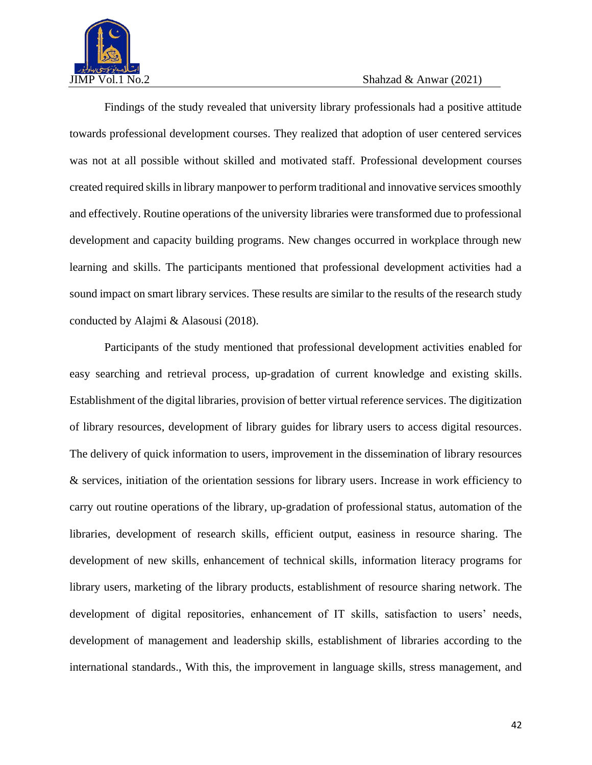

Findings of the study revealed that university library professionals had a positive attitude towards professional development courses. They realized that adoption of user centered services was not at all possible without skilled and motivated staff. Professional development courses created required skills in library manpower to perform traditional and innovative services smoothly and effectively. Routine operations of the university libraries were transformed due to professional development and capacity building programs. New changes occurred in workplace through new learning and skills. The participants mentioned that professional development activities had a sound impact on smart library services. These results are similar to the results of the research study conducted by Alajmi & Alasousi (2018).

Participants of the study mentioned that professional development activities enabled for easy searching and retrieval process, up-gradation of current knowledge and existing skills. Establishment of the digital libraries, provision of better virtual reference services. The digitization of library resources, development of library guides for library users to access digital resources. The delivery of quick information to users, improvement in the dissemination of library resources & services, initiation of the orientation sessions for library users. Increase in work efficiency to carry out routine operations of the library, up-gradation of professional status, automation of the libraries, development of research skills, efficient output, easiness in resource sharing. The development of new skills, enhancement of technical skills, information literacy programs for library users, marketing of the library products, establishment of resource sharing network. The development of digital repositories, enhancement of IT skills, satisfaction to users' needs, development of management and leadership skills, establishment of libraries according to the international standards., With this, the improvement in language skills, stress management, and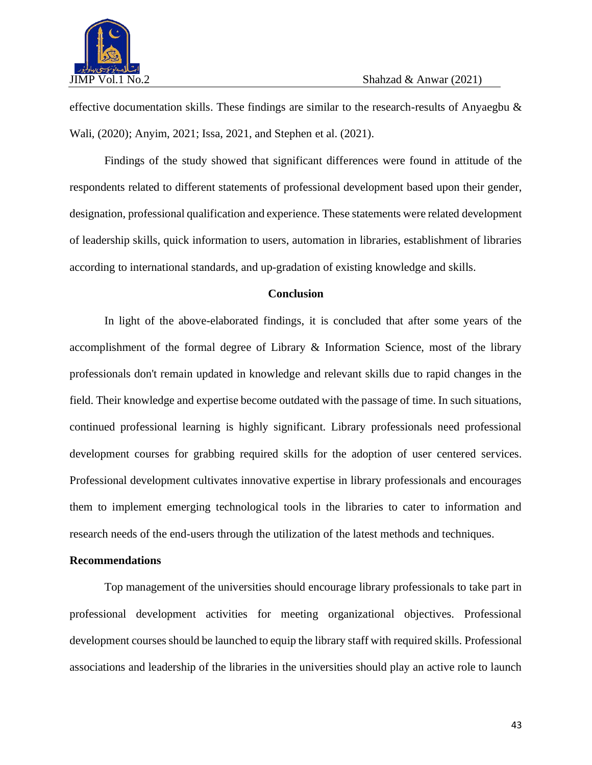

effective documentation skills. These findings are similar to the research-results of Anyaegbu & Wali, (2020); Anyim, 2021; Issa, 2021, and Stephen et al. (2021).

Findings of the study showed that significant differences were found in attitude of the respondents related to different statements of professional development based upon their gender, designation, professional qualification and experience. These statements were related development of leadership skills, quick information to users, automation in libraries, establishment of libraries according to international standards, and up-gradation of existing knowledge and skills.

### **Conclusion**

In light of the above-elaborated findings, it is concluded that after some years of the accomplishment of the formal degree of Library & Information Science, most of the library professionals don't remain updated in knowledge and relevant skills due to rapid changes in the field. Their knowledge and expertise become outdated with the passage of time. In such situations, continued professional learning is highly significant. Library professionals need professional development courses for grabbing required skills for the adoption of user centered services. Professional development cultivates innovative expertise in library professionals and encourages them to implement emerging technological tools in the libraries to cater to information and research needs of the end-users through the utilization of the latest methods and techniques.

### **Recommendations**

Top management of the universities should encourage library professionals to take part in professional development activities for meeting organizational objectives. Professional development courses should be launched to equip the library staff with required skills. Professional associations and leadership of the libraries in the universities should play an active role to launch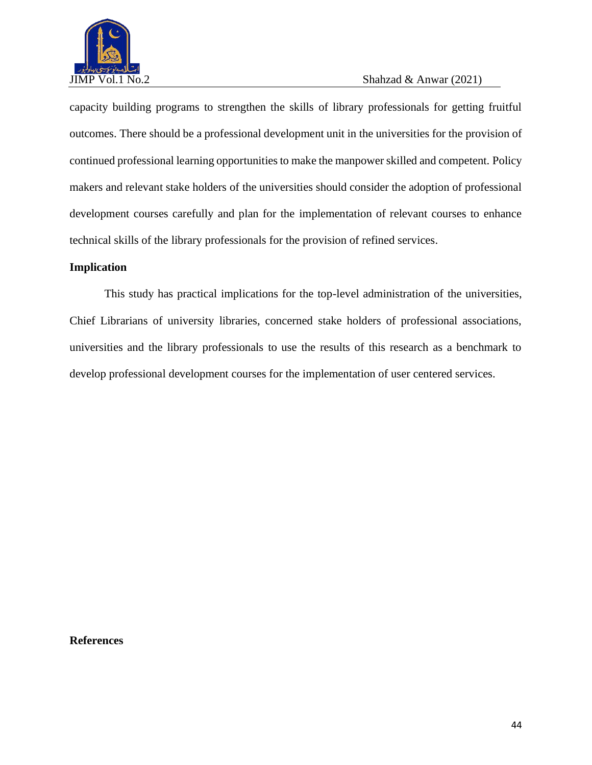

capacity building programs to strengthen the skills of library professionals for getting fruitful outcomes. There should be a professional development unit in the universities for the provision of continued professional learning opportunities to make the manpower skilled and competent. Policy makers and relevant stake holders of the universities should consider the adoption of professional development courses carefully and plan for the implementation of relevant courses to enhance technical skills of the library professionals for the provision of refined services.

# **Implication**

This study has practical implications for the top-level administration of the universities, Chief Librarians of university libraries, concerned stake holders of professional associations, universities and the library professionals to use the results of this research as a benchmark to develop professional development courses for the implementation of user centered services.

#### **References**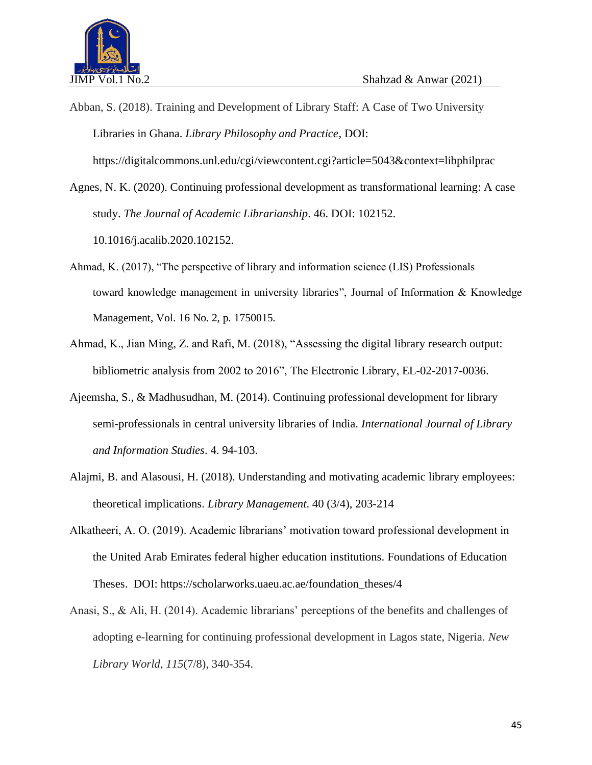

Abban, S. (2018). Training and Development of Library Staff: A Case of Two University Libraries in Ghana. *Library Philosophy and Practice*, DOI: <https://digitalcommons.unl.edu/cgi/viewcontent.cgi?article=5043&context=libphilprac>

Agnes, N. K. (2020). Continuing professional development as transformational learning: A case study. *The Journal of Academic Librarianship*. 46. DOI: 102152. 10.1016/j.acalib.2020.102152.

- Ahmad, K. (2017), "The perspective of library and information science (LIS) Professionals toward knowledge management in university libraries", Journal of Information & Knowledge Management, Vol. 16 No. 2, p. 1750015.
- Ahmad, K., Jian Ming, Z. and Rafi, M. (2018), "Assessing the digital library research output: bibliometric analysis from 2002 to 2016", The Electronic Library, EL-02-2017-0036.
- Ajeemsha, S., & Madhusudhan, M. (2014). Continuing professional development for library semi-professionals in central university libraries of India. *International Journal of Library and Information Studies*. 4. 94-103.
- Alajmi, B. and Alasousi, H. (2018). Understanding and motivating academic library employees: theoretical implications. *Library Management*. 40 (3/4), 203-214
- Alkatheeri, A. O. (2019). Academic librarians' motivation toward professional development in the United Arab Emirates federal higher education institutions. Foundations of Education Theses. DOI: [https://scholarworks.uaeu.ac.ae/foundation\\_theses/4](https://scholarworks.uaeu.ac.ae/foundation_theses/4)
- Anasi, S., & Ali, H. (2014). Academic librarians' perceptions of the benefits and challenges of adopting e-learning for continuing professional development in Lagos state, Nigeria. *New Library World*, *115*(7/8), 340-354.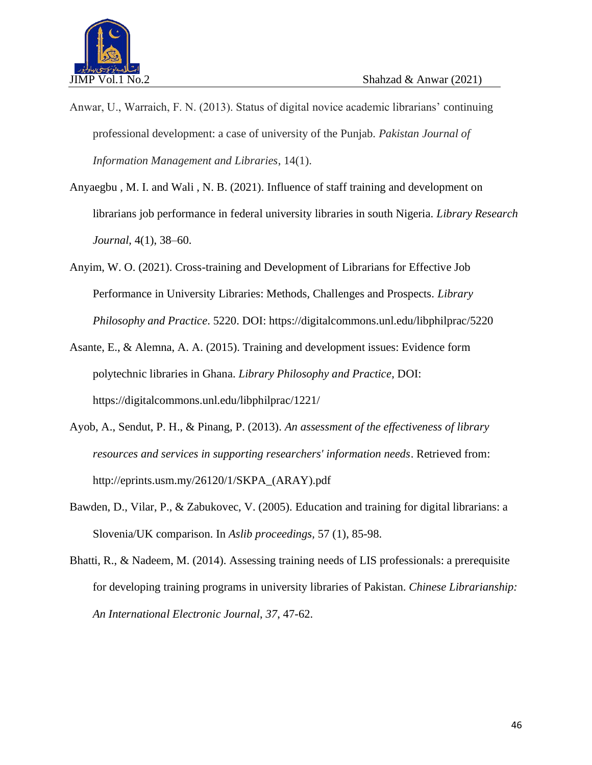

- Anwar, U., Warraich, F. N. (2013). Status of digital novice academic librarians' continuing professional development: a case of university of the Punjab. *Pakistan Journal of Information Management and Libraries*, 14(1).
- Anyaegbu , M. I. and Wali , N. B. (2021). Influence of staff training and development on librarians job performance in federal university libraries in south Nigeria. *Library Research Journal*, 4(1), 38–60.
- Anyim, W. O. (2021). Cross-training and Development of Librarians for Effective Job Performance in University Libraries: Methods, Challenges and Prospects. *Library Philosophy and Practice*. 5220. DOI:<https://digitalcommons.unl.edu/libphilprac/5220>
- Asante, E., & Alemna, A. A. (2015). Training and development issues: Evidence form polytechnic libraries in Ghana. *Library Philosophy and Practice*, DOI: <https://digitalcommons.unl.edu/libphilprac/1221/>
- Ayob, A., Sendut, P. H., & Pinang, P. (2013). *An assessment of the effectiveness of library resources and services in supporting researchers' information needs*. Retrieved from: [http://eprints.usm.my/26120/1/SKPA\\_\(ARAY\).pdf](http://eprints.usm.my/26120/1/SKPA_(ARAY).pdf)
- Bawden, D., Vilar, P., & Zabukovec, V. (2005). Education and training for digital librarians: a Slovenia/UK comparison. In *Aslib proceedings,* 57 (1), 85-98.
- Bhatti, R., & Nadeem, M. (2014). Assessing training needs of LIS professionals: a prerequisite for developing training programs in university libraries of Pakistan. *Chinese Librarianship: An International Electronic Journal*, *37*, 47-62.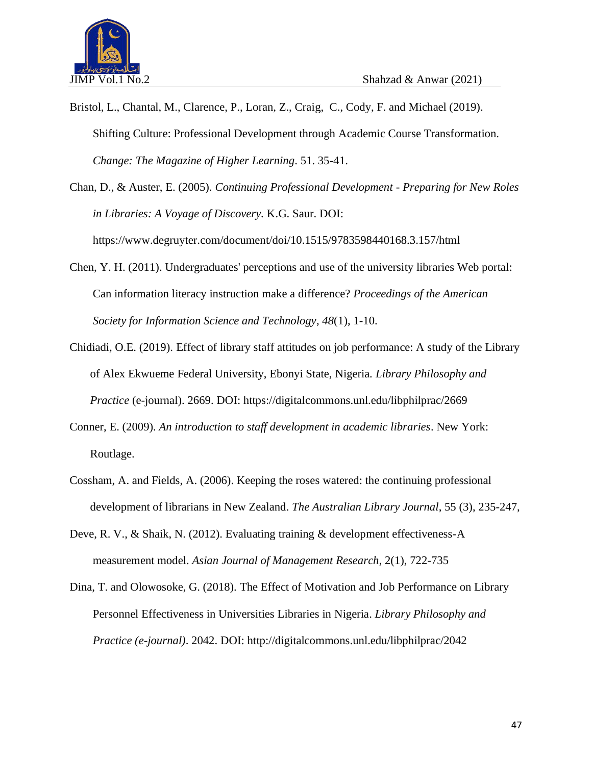

- Bristol, L., Chantal, M., Clarence, P., Loran, Z., Craig, C., Cody, F. and Michael (2019). Shifting Culture: Professional Development through Academic Course Transformation. *Change: The Magazine of Higher Learning*. 51. 35-41.
- Chan, D., & Auster, E. (2005). *Continuing Professional Development - Preparing for New Roles in Libraries: A Voyage of Discovery.* K.G. Saur. DOI: <https://www.degruyter.com/document/doi/10.1515/9783598440168.3.157/html>
- Chen, Y. H. (2011). Undergraduates' perceptions and use of the university libraries Web portal: Can information literacy instruction make a difference? *Proceedings of the American Society for Information Science and Technology*, *48*(1), 1-10.
- Chidiadi, O.E. (2019). Effect of library staff attitudes on job performance: A study of the Library of Alex Ekwueme Federal University, Ebonyi State, Nigeria. *Library Philosophy and Practice* (e-journal). 2669. DOI:<https://digitalcommons.unl.edu/libphilprac/2669>
- Conner, E. (2009). *An introduction to staff development in academic libraries*. New York: Routlage.
- Cossham, A. and Fields, A. (2006). Keeping the roses watered: the continuing professional development of librarians in New Zealand. *The Australian Library Journal*, 55 (3), 235-247,
- Deve, R. V., & Shaik, N. (2012). Evaluating training & development effectiveness-A measurement model. *Asian Journal of Management Research*, 2(1), 722-735
- Dina, T. and Olowosoke, G. (2018). The Effect of Motivation and Job Performance on Library Personnel Effectiveness in Universities Libraries in Nigeria. *Library Philosophy and Practice (e-journal)*. 2042. DOI:<http://digitalcommons.unl.edu/libphilprac/2042>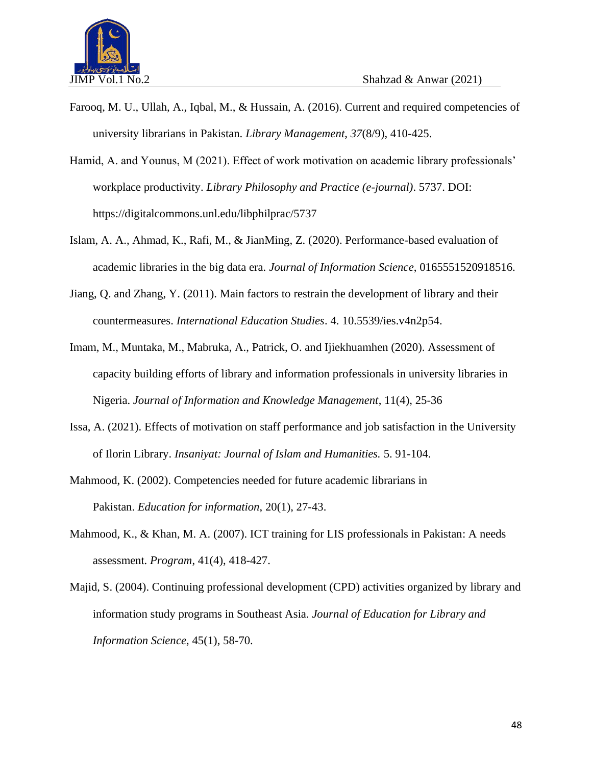

- Farooq, M. U., Ullah, A., Iqbal, M., & Hussain, A. (2016). Current and required competencies of university librarians in Pakistan. *Library Management*, *37*(8/9), 410-425.
- Hamid, A. and Younus, M (2021). Effect of work motivation on academic library professionals' workplace productivity. *Library Philosophy and Practice (e-journal)*. 5737. DOI: <https://digitalcommons.unl.edu/libphilprac/5737>
- Islam, A. A., Ahmad, K., Rafi, M., & JianMing, Z. (2020). Performance-based evaluation of academic libraries in the big data era. *Journal of Information Science*, 0165551520918516.
- Jiang, Q. and Zhang, Y. (2011). Main factors to restrain the development of library and their countermeasures. *International Education Studies*. 4. 10.5539/ies.v4n2p54.
- Imam, M., Muntaka, M., Mabruka, A., Patrick, O. and Ijiekhuamhen (2020). Assessment of capacity building efforts of library and information professionals in university libraries in Nigeria. *Journal of Information and Knowledge Management*, 11(4), 25-36
- Issa, A. (2021). Effects of motivation on staff performance and job satisfaction in the University of Ilorin Library. *Insaniyat: Journal of Islam and Humanities.* 5. 91-104.
- Mahmood, K. (2002). Competencies needed for future academic librarians in Pakistan. *Education for information*, 20(1), 27-43.
- Mahmood, K., & Khan, M. A. (2007). ICT training for LIS professionals in Pakistan: A needs assessment. *Program*, 41(4), 418-427.
- Majid, S. (2004). Continuing professional development (CPD) activities organized by library and information study programs in Southeast Asia. *Journal of Education for Library and Information Science*, 45(1), 58-70.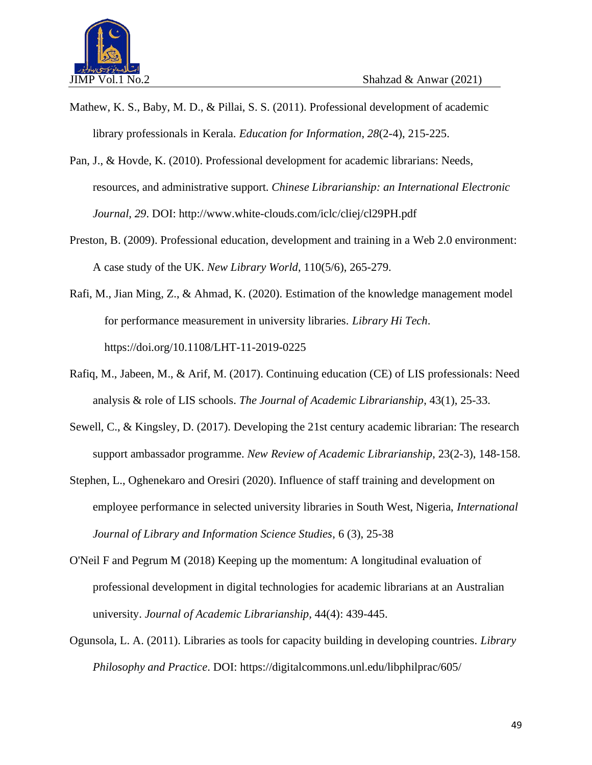

- Mathew, K. S., Baby, M. D., & Pillai, S. S. (2011). Professional development of academic library professionals in Kerala. *Education for Information*, *28*(2-4), 215-225.
- Pan, J., & Hovde, K. (2010). Professional development for academic librarians: Needs, resources, and administrative support. *Chinese Librarianship: an International Electronic Journal*, *29*. DOI:<http://www.white-clouds.com/iclc/cliej/cl29PH.pdf>
- Preston, B. (2009). Professional education, development and training in a Web 2.0 environment: A case study of the UK. *New Library World*, 110(5/6), 265-279.
- Rafi, M., Jian Ming, Z., & Ahmad, K. (2020). Estimation of the knowledge management model for performance measurement in university libraries. *Library Hi Tech*. https://doi.org/10.1108/LHT-11-2019-0225
- Rafiq, M., Jabeen, M., & Arif, M. (2017). Continuing education (CE) of LIS professionals: Need analysis & role of LIS schools. *The Journal of Academic Librarianship*, 43(1), 25-33.
- Sewell, C., & Kingsley, D. (2017). Developing the 21st century academic librarian: The research support ambassador programme. *New Review of Academic Librarianship*, 23(2-3), 148-158.
- Stephen, L., Oghenekaro and Oresiri (2020). Influence of staff training and development on employee performance in selected university libraries in South West, Nigeria, *International Journal of Library and Information Science Studies*, 6 (3), 25-38
- O'Neil F and Pegrum M (2018) Keeping up the momentum: A longitudinal evaluation of professional development in digital technologies for academic librarians at an Australian university. *Journal of Academic Librarianship,* 44(4): 439-445.
- Ogunsola, L. A. (2011). Libraries as tools for capacity building in developing countries. *Library Philosophy and Practice*. DOI:<https://digitalcommons.unl.edu/libphilprac/605/>